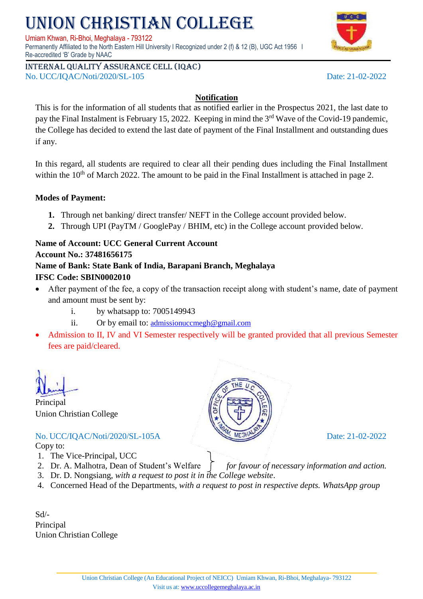# NION CHRISTIAN COLLEGE

Umiam Khwan, Ri-Bhoi, Meghalaya - 793122

Permanently Affiliated to the North Eastern Hill University I Recognized under 2 (f) & 12 (B), UGC Act 1956 I Re-accredited 'B' Grade by NAAC

Internal quality assurance cell (IQAC) No. UCC/IQAC/Noti/2020/SL-105 Date: 21-02-2022

#### **Notification**

This is for the information of all students that as notified earlier in the Prospectus 2021, the last date to pay the Final Instalment is February 15, 2022. Keeping in mind the 3<sup>rd</sup> Wave of the Covid-19 pandemic, the College has decided to extend the last date of payment of the Final Installment and outstanding dues if any.

In this regard, all students are required to clear all their pending dues including the Final Installment within the  $10<sup>th</sup>$  of March 2022. The amount to be paid in the Final Installment is attached in page 2.

#### **Modes of Payment:**

- **1.** Through net banking/ direct transfer/ NEFT in the College account provided below.
- **2.** Through UPI (PayTM / GooglePay / BHIM, etc) in the College account provided below.

#### **Name of Account: UCC General Current Account**

#### **Account No.: 37481656175**

## **Name of Bank: State Bank of India, Barapani Branch, Meghalaya**

#### **IFSC Code: SBIN0002010**

- After payment of the fee, a copy of the transaction receipt along with student's name, date of payment and amount must be sent by:
	- i. by whatsapp to: 7005149943
	- ii. Or by email to: [admissionuccmegh@gmail.com](mailto:admissionuccmegh@gmail.com)
- Admission to II, IV and VI Semester respectively will be granted provided that all previous Semester fees are paid/cleared.

Principal Union Christian College

No. UCC/IQAC/Noti/2020/SL-105A Date: 21-02-2022 Copy to:

- 1. The Vice-Principal, UCC
- 2. Dr. A. Malhotra, Dean of Student's Welfare *for favour of necessary information and action.*
- 3. Dr. D. Nongsiang, *with a request to post it in the College website*.
- 4. Concerned Head of the Departments, *with a request to post in respective depts. WhatsApp group*

Sd/- Principal Union Christian College